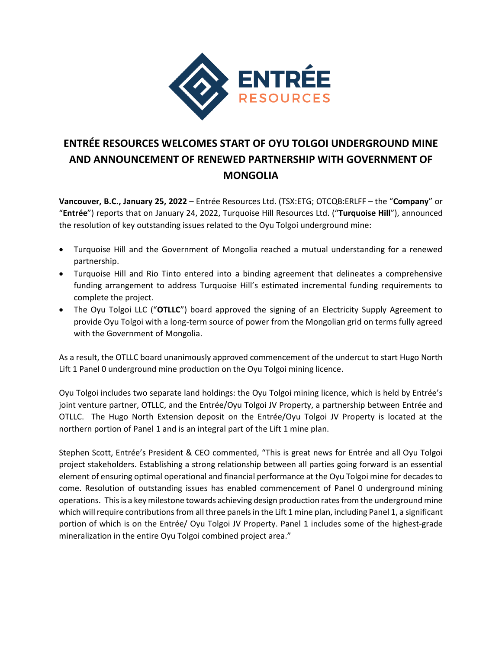

## **ENTRÉE RESOURCES WELCOMES START OF OYU TOLGOI UNDERGROUND MINE AND ANNOUNCEMENT OF RENEWED PARTNERSHIP WITH GOVERNMENT OF MONGOLIA**

**Vancouver, B.C., January 25, 2022** – Entrée Resources Ltd. (TSX:ETG; OTCQB:ERLFF – the "**Company**" or "**Entrée**") reports that on January 24, 2022, Turquoise Hill Resources Ltd. ("**Turquoise Hill**"), announced the resolution of key outstanding issues related to the Oyu Tolgoi underground mine:

- Turquoise Hill and the Government of Mongolia reached a mutual understanding for a renewed partnership.
- Turquoise Hill and Rio Tinto entered into a binding agreement that delineates a comprehensive funding arrangement to address Turquoise Hill's estimated incremental funding requirements to complete the project.
- The Oyu Tolgoi LLC ("**OTLLC**") board approved the signing of an Electricity Supply Agreement to provide Oyu Tolgoi with a long-term source of power from the Mongolian grid on terms fully agreed with the Government of Mongolia.

As a result, the OTLLC board unanimously approved commencement of the undercut to start Hugo North Lift 1 Panel 0 underground mine production on the Oyu Tolgoi mining licence.

Oyu Tolgoi includes two separate land holdings: the Oyu Tolgoi mining licence, which is held by Entrée's joint venture partner, OTLLC, and the Entrée/Oyu Tolgoi JV Property, a partnership between Entrée and OTLLC. The Hugo North Extension deposit on the Entrée/Oyu Tolgoi JV Property is located at the northern portion of Panel 1 and is an integral part of the Lift 1 mine plan.

Stephen Scott, Entrée's President & CEO commented, "This is great news for Entrée and all Oyu Tolgoi project stakeholders. Establishing a strong relationship between all parties going forward is an essential element of ensuring optimal operational and financial performance at the Oyu Tolgoi mine for decades to come. Resolution of outstanding issues has enabled commencement of Panel 0 underground mining operations. This is a key milestone towards achieving design production rates from the underground mine which will require contributions from all three panels in the Lift 1 mine plan, including Panel 1, a significant portion of which is on the Entrée/ Oyu Tolgoi JV Property. Panel 1 includes some of the highest-grade mineralization in the entire Oyu Tolgoi combined project area."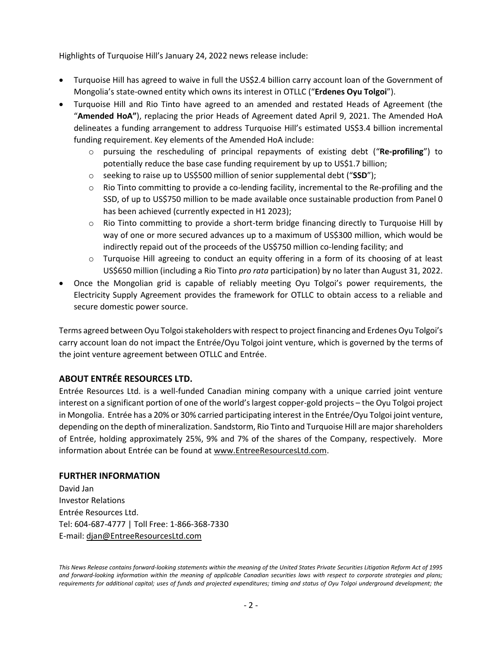Highlights of Turquoise Hill's January 24, 2022 news release include:

- Turquoise Hill has agreed to waive in full the US\$2.4 billion carry account loan of the Government of Mongolia's state-owned entity which owns its interest in OTLLC ("**Erdenes Oyu Tolgoi**").
- Turquoise Hill and Rio Tinto have agreed to an amended and restated Heads of Agreement (the "**Amended HoA"**), replacing the prior Heads of Agreement dated April 9, 2021. The Amended HoA delineates a funding arrangement to address Turquoise Hill's estimated US\$3.4 billion incremental funding requirement. Key elements of the Amended HoA include:
	- o pursuing the rescheduling of principal repayments of existing debt ("**Re-profiling**") to potentially reduce the base case funding requirement by up to US\$1.7 billion;
	- o seeking to raise up to US\$500 million of senior supplemental debt ("**SSD**");
	- $\circ$  Rio Tinto committing to provide a co-lending facility, incremental to the Re-profiling and the SSD, of up to US\$750 million to be made available once sustainable production from Panel 0 has been achieved (currently expected in H1 2023);
	- $\circ$  Rio Tinto committing to provide a short-term bridge financing directly to Turquoise Hill by way of one or more secured advances up to a maximum of US\$300 million, which would be indirectly repaid out of the proceeds of the US\$750 million co-lending facility; and
	- o Turquoise Hill agreeing to conduct an equity offering in a form of its choosing of at least US\$650 million (including a Rio Tinto *pro rata* participation) by no later than August 31, 2022.
- Once the Mongolian grid is capable of reliably meeting Oyu Tolgoi's power requirements, the Electricity Supply Agreement provides the framework for OTLLC to obtain access to a reliable and secure domestic power source.

Terms agreed between Oyu Tolgoi stakeholders with respect to project financing and Erdenes Oyu Tolgoi's carry account loan do not impact the Entrée/Oyu Tolgoi joint venture, which is governed by the terms of the joint venture agreement between OTLLC and Entrée.

## **ABOUT ENTRÉE RESOURCES LTD.**

Entrée Resources Ltd. is a well-funded Canadian mining company with a unique carried joint venture interest on a significant portion of one of the world's largest copper-gold projects – the Oyu Tolgoi project in Mongolia. Entrée has a 20% or 30% carried participating interest in the Entrée/Oyu Tolgoi joint venture, depending on the depth of mineralization. Sandstorm, Rio Tinto and Turquoise Hill are major shareholders of Entrée, holding approximately 25%, 9% and 7% of the shares of the Company, respectively. More information about Entrée can be found at [www.EntreeResourcesLtd.com.](http://www.entreeresourcesltd.com/)

## **FURTHER INFORMATION**

David Jan Investor Relations Entrée Resources Ltd. Tel: 604-687-4777 | Toll Free: 1-866-368-7330 E-mail: [djan@EntreeResourcesLtd.com](mailto:djan@EntreeResourcesLtd.com)

*This News Release contains forward-looking statements within the meaning of the United States Private Securities Litigation Reform Act of 1995 and forward-looking information within the meaning of applicable Canadian securities laws with respect to corporate strategies and plans; requirements for additional capital; uses of funds and projected expenditures; timing and status of Oyu Tolgoi underground development; the*